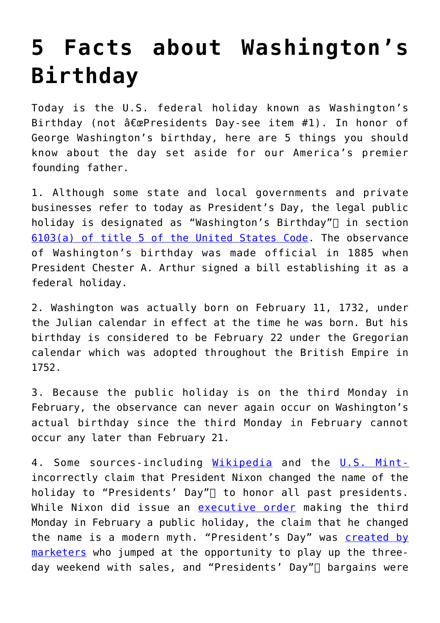## **[5 Facts about Washington's](https://intellectualtakeout.org/2018/02/5-facts-about-washingtons-birthday/) [Birthday](https://intellectualtakeout.org/2018/02/5-facts-about-washingtons-birthday/)**

Today is the U.S. federal holiday known as Washington's Birthday (not  $\hat{a} \in \mathbb{C}$ Presidents Day-see item #1). In honor of George Washington's birthday, here are 5 things you should know about the day set aside for our America's premier founding father.

1. Although some state and local governments and private businesses refer to today as President's Day, the legal public holiday is designated as "Washington's Birthday" $\sqcap$  in section 6103(a) of title 5 of the United States Code. The observance of Washington's birthday was made official in 1885 when President Chester A. Arthur signed a bill establishing it as a federal holiday.

2. Washington was actually born on February 11, 1732, under the Julian calendar in effect at the time he was born. But his birthday is considered to be February 22 under the Gregorian calendar which was adopted throughout the British Empire in 1752.

3. Because the public holiday is on the third Monday in February, the observance can never again occur on Washington's actual birthday since the third Monday in February cannot occur any later than February 21.

4. Some sources-including Wikipedia and the U.S. Mintincorrectly claim that President Nixon changed the name of the holiday to "Presidents' Day" $\sqcap$  to honor all past presidents. While Nixon did issue an executive order making the third Monday in February a public holiday, the claim that he changed the name is a modern myth. "President's Day" was created by marketers who jumped at the opportunity to play up the threeday weekend with sales, and "Presidents' Day" $\sqcap$  bargains were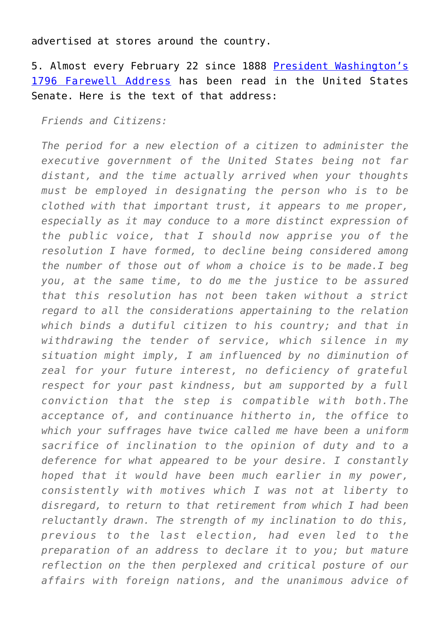advertised at stores around the country.

5. Almost every February 22 since 1888 President Washington's 1796 Farewell Address has been read in the United States Senate. Here is the text of that address:

*Friends and Citizens:*

*The period for a new election of a citizen to administer the executive government of the United States being not far distant, and the time actually arrived when your thoughts must be employed in designating the person who is to be clothed with that important trust, it appears to me proper, especially as it may conduce to a more distinct expression of the public voice, that I should now apprise you of the resolution I have formed, to decline being considered among the number of those out of whom a choice is to be made.I beg you, at the same time, to do me the justice to be assured that this resolution has not been taken without a strict regard to all the considerations appertaining to the relation which binds a dutiful citizen to his country; and that in withdrawing the tender of service, which silence in my situation might imply, I am influenced by no diminution of zeal for your future interest, no deficiency of grateful respect for your past kindness, but am supported by a full conviction that the step is compatible with both.The acceptance of, and continuance hitherto in, the office to which your suffrages have twice called me have been a uniform sacrifice of inclination to the opinion of duty and to a deference for what appeared to be your desire. I constantly hoped that it would have been much earlier in my power, consistently with motives which I was not at liberty to disregard, to return to that retirement from which I had been reluctantly drawn. The strength of my inclination to do this, previous to the last election, had even led to the preparation of an address to declare it to you; but mature reflection on the then perplexed and critical posture of our affairs with foreign nations, and the unanimous advice of*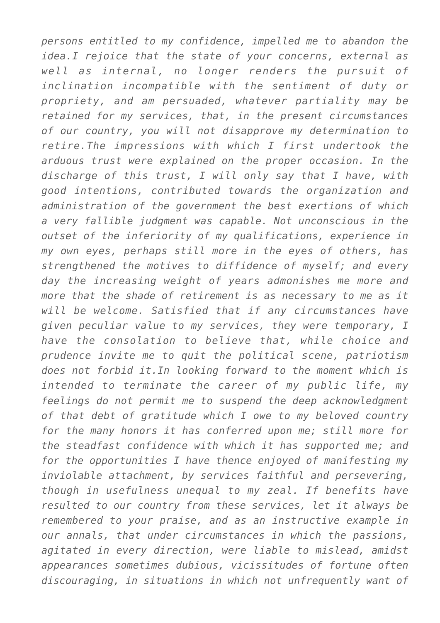*persons entitled to my confidence, impelled me to abandon the idea.I rejoice that the state of your concerns, external as well as internal, no longer renders the pursuit of inclination incompatible with the sentiment of duty or propriety, and am persuaded, whatever partiality may be retained for my services, that, in the present circumstances of our country, you will not disapprove my determination to retire.The impressions with which I first undertook the arduous trust were explained on the proper occasion. In the discharge of this trust, I will only say that I have, with good intentions, contributed towards the organization and administration of the government the best exertions of which a very fallible judgment was capable. Not unconscious in the outset of the inferiority of my qualifications, experience in my own eyes, perhaps still more in the eyes of others, has strengthened the motives to diffidence of myself; and every day the increasing weight of years admonishes me more and more that the shade of retirement is as necessary to me as it will be welcome. Satisfied that if any circumstances have given peculiar value to my services, they were temporary, I have the consolation to believe that, while choice and prudence invite me to quit the political scene, patriotism does not forbid it.In looking forward to the moment which is intended to terminate the career of my public life, my feelings do not permit me to suspend the deep acknowledgment of that debt of gratitude which I owe to my beloved country for the many honors it has conferred upon me; still more for the steadfast confidence with which it has supported me; and for the opportunities I have thence enjoyed of manifesting my inviolable attachment, by services faithful and persevering, though in usefulness unequal to my zeal. If benefits have resulted to our country from these services, let it always be remembered to your praise, and as an instructive example in our annals, that under circumstances in which the passions, agitated in every direction, were liable to mislead, amidst appearances sometimes dubious, vicissitudes of fortune often discouraging, in situations in which not unfrequently want of*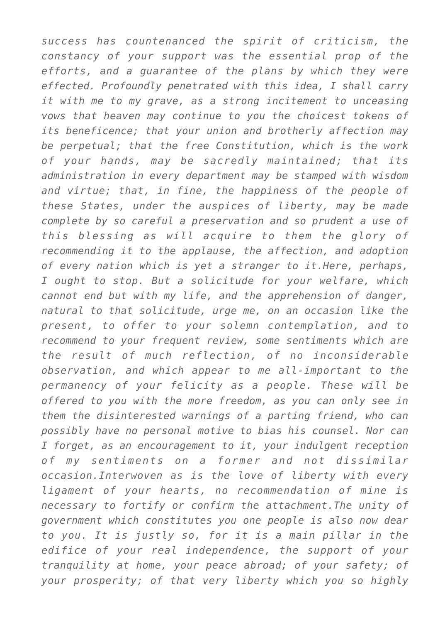*success has countenanced the spirit of criticism, the constancy of your support was the essential prop of the efforts, and a guarantee of the plans by which they were effected. Profoundly penetrated with this idea, I shall carry it with me to my grave, as a strong incitement to unceasing vows that heaven may continue to you the choicest tokens of its beneficence; that your union and brotherly affection may be perpetual; that the free Constitution, which is the work of your hands, may be sacredly maintained; that its administration in every department may be stamped with wisdom and virtue; that, in fine, the happiness of the people of these States, under the auspices of liberty, may be made complete by so careful a preservation and so prudent a use of this blessing as will acquire to them the glory of recommending it to the applause, the affection, and adoption of every nation which is yet a stranger to it.Here, perhaps, I ought to stop. But a solicitude for your welfare, which cannot end but with my life, and the apprehension of danger, natural to that solicitude, urge me, on an occasion like the present, to offer to your solemn contemplation, and to recommend to your frequent review, some sentiments which are the result of much reflection, of no inconsiderable observation, and which appear to me all-important to the permanency of your felicity as a people. These will be offered to you with the more freedom, as you can only see in them the disinterested warnings of a parting friend, who can possibly have no personal motive to bias his counsel. Nor can I forget, as an encouragement to it, your indulgent reception of my sentiments on a former and not dissimilar occasion.Interwoven as is the love of liberty with every ligament of your hearts, no recommendation of mine is necessary to fortify or confirm the attachment.The unity of government which constitutes you one people is also now dear to you. It is justly so, for it is a main pillar in the edifice of your real independence, the support of your tranquility at home, your peace abroad; of your safety; of your prosperity; of that very liberty which you so highly*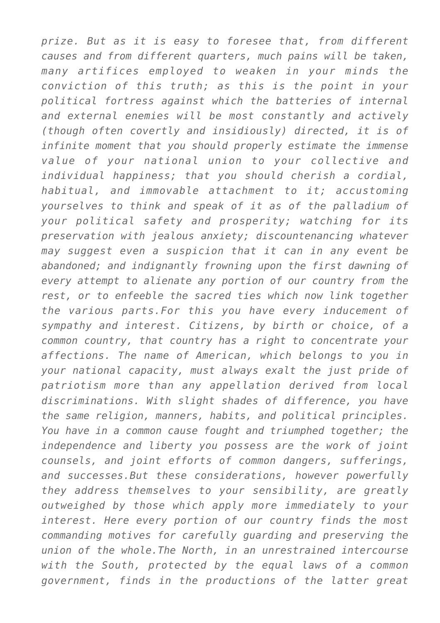*prize. But as it is easy to foresee that, from different causes and from different quarters, much pains will be taken, many artifices employed to weaken in your minds the conviction of this truth; as this is the point in your political fortress against which the batteries of internal and external enemies will be most constantly and actively (though often covertly and insidiously) directed, it is of infinite moment that you should properly estimate the immense value of your national union to your collective and individual happiness; that you should cherish a cordial, habitual, and immovable attachment to it; accustoming yourselves to think and speak of it as of the palladium of your political safety and prosperity; watching for its preservation with jealous anxiety; discountenancing whatever may suggest even a suspicion that it can in any event be abandoned; and indignantly frowning upon the first dawning of every attempt to alienate any portion of our country from the rest, or to enfeeble the sacred ties which now link together the various parts.For this you have every inducement of sympathy and interest. Citizens, by birth or choice, of a common country, that country has a right to concentrate your affections. The name of American, which belongs to you in your national capacity, must always exalt the just pride of patriotism more than any appellation derived from local discriminations. With slight shades of difference, you have the same religion, manners, habits, and political principles. You have in a common cause fought and triumphed together; the independence and liberty you possess are the work of joint counsels, and joint efforts of common dangers, sufferings, and successes.But these considerations, however powerfully they address themselves to your sensibility, are greatly outweighed by those which apply more immediately to your interest. Here every portion of our country finds the most commanding motives for carefully guarding and preserving the union of the whole.The North, in an unrestrained intercourse with the South, protected by the equal laws of a common government, finds in the productions of the latter great*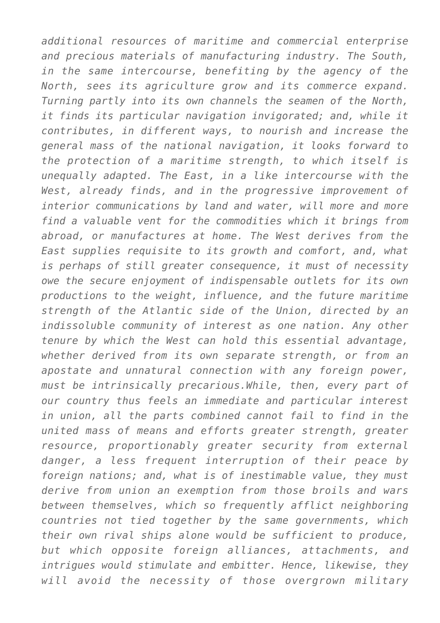*additional resources of maritime and commercial enterprise and precious materials of manufacturing industry. The South, in the same intercourse, benefiting by the agency of the North, sees its agriculture grow and its commerce expand. Turning partly into its own channels the seamen of the North, it finds its particular navigation invigorated; and, while it contributes, in different ways, to nourish and increase the general mass of the national navigation, it looks forward to the protection of a maritime strength, to which itself is unequally adapted. The East, in a like intercourse with the West, already finds, and in the progressive improvement of interior communications by land and water, will more and more find a valuable vent for the commodities which it brings from abroad, or manufactures at home. The West derives from the East supplies requisite to its growth and comfort, and, what is perhaps of still greater consequence, it must of necessity owe the secure enjoyment of indispensable outlets for its own productions to the weight, influence, and the future maritime strength of the Atlantic side of the Union, directed by an indissoluble community of interest as one nation. Any other tenure by which the West can hold this essential advantage, whether derived from its own separate strength, or from an apostate and unnatural connection with any foreign power, must be intrinsically precarious.While, then, every part of our country thus feels an immediate and particular interest in union, all the parts combined cannot fail to find in the united mass of means and efforts greater strength, greater resource, proportionably greater security from external danger, a less frequent interruption of their peace by foreign nations; and, what is of inestimable value, they must derive from union an exemption from those broils and wars between themselves, which so frequently afflict neighboring countries not tied together by the same governments, which their own rival ships alone would be sufficient to produce, but which opposite foreign alliances, attachments, and intrigues would stimulate and embitter. Hence, likewise, they will avoid the necessity of those overgrown military*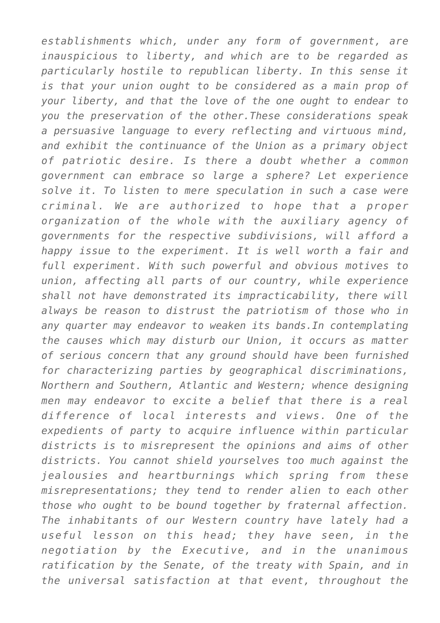*establishments which, under any form of government, are inauspicious to liberty, and which are to be regarded as particularly hostile to republican liberty. In this sense it is that your union ought to be considered as a main prop of your liberty, and that the love of the one ought to endear to you the preservation of the other.These considerations speak a persuasive language to every reflecting and virtuous mind, and exhibit the continuance of the Union as a primary object of patriotic desire. Is there a doubt whether a common government can embrace so large a sphere? Let experience solve it. To listen to mere speculation in such a case were criminal. We are authorized to hope that a proper organization of the whole with the auxiliary agency of governments for the respective subdivisions, will afford a happy issue to the experiment. It is well worth a fair and full experiment. With such powerful and obvious motives to union, affecting all parts of our country, while experience shall not have demonstrated its impracticability, there will always be reason to distrust the patriotism of those who in any quarter may endeavor to weaken its bands.In contemplating the causes which may disturb our Union, it occurs as matter of serious concern that any ground should have been furnished for characterizing parties by geographical discriminations, Northern and Southern, Atlantic and Western; whence designing men may endeavor to excite a belief that there is a real difference of local interests and views. One of the expedients of party to acquire influence within particular districts is to misrepresent the opinions and aims of other districts. You cannot shield yourselves too much against the jealousies and heartburnings which spring from these misrepresentations; they tend to render alien to each other those who ought to be bound together by fraternal affection. The inhabitants of our Western country have lately had a useful lesson on this head; they have seen, in the negotiation by the Executive, and in the unanimous ratification by the Senate, of the treaty with Spain, and in the universal satisfaction at that event, throughout the*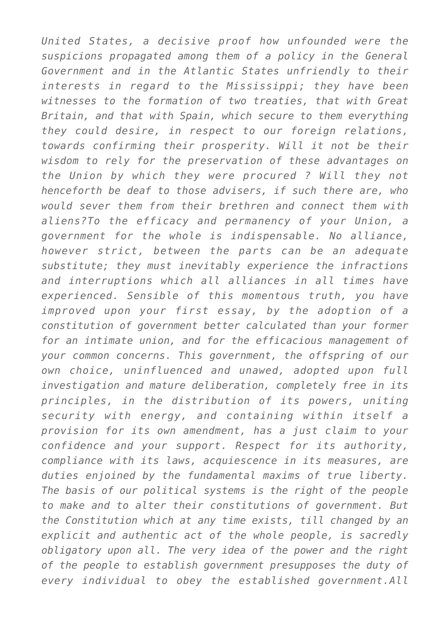*United States, a decisive proof how unfounded were the suspicions propagated among them of a policy in the General Government and in the Atlantic States unfriendly to their interests in regard to the Mississippi; they have been witnesses to the formation of two treaties, that with Great Britain, and that with Spain, which secure to them everything they could desire, in respect to our foreign relations, towards confirming their prosperity. Will it not be their wisdom to rely for the preservation of these advantages on the Union by which they were procured ? Will they not henceforth be deaf to those advisers, if such there are, who would sever them from their brethren and connect them with aliens?To the efficacy and permanency of your Union, a government for the whole is indispensable. No alliance, however strict, between the parts can be an adequate substitute; they must inevitably experience the infractions and interruptions which all alliances in all times have experienced. Sensible of this momentous truth, you have improved upon your first essay, by the adoption of a constitution of government better calculated than your former for an intimate union, and for the efficacious management of your common concerns. This government, the offspring of our own choice, uninfluenced and unawed, adopted upon full investigation and mature deliberation, completely free in its principles, in the distribution of its powers, uniting security with energy, and containing within itself a provision for its own amendment, has a just claim to your confidence and your support. Respect for its authority, compliance with its laws, acquiescence in its measures, are duties enjoined by the fundamental maxims of true liberty. The basis of our political systems is the right of the people to make and to alter their constitutions of government. But the Constitution which at any time exists, till changed by an explicit and authentic act of the whole people, is sacredly obligatory upon all. The very idea of the power and the right of the people to establish government presupposes the duty of every individual to obey the established government.All*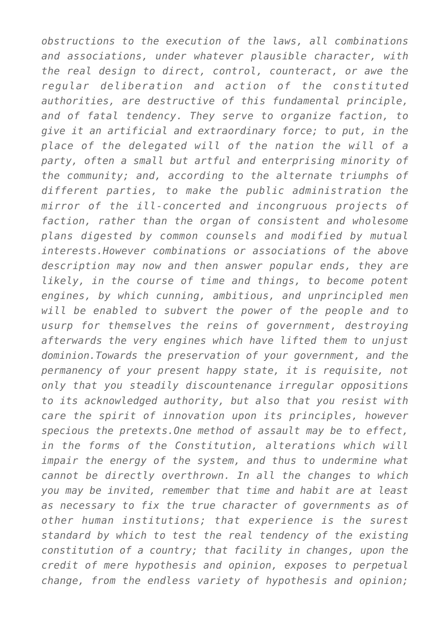*obstructions to the execution of the laws, all combinations and associations, under whatever plausible character, with the real design to direct, control, counteract, or awe the regular deliberation and action of the constituted authorities, are destructive of this fundamental principle, and of fatal tendency. They serve to organize faction, to give it an artificial and extraordinary force; to put, in the place of the delegated will of the nation the will of a party, often a small but artful and enterprising minority of the community; and, according to the alternate triumphs of different parties, to make the public administration the mirror of the ill-concerted and incongruous projects of faction, rather than the organ of consistent and wholesome plans digested by common counsels and modified by mutual interests.However combinations or associations of the above description may now and then answer popular ends, they are likely, in the course of time and things, to become potent engines, by which cunning, ambitious, and unprincipled men will be enabled to subvert the power of the people and to usurp for themselves the reins of government, destroying afterwards the very engines which have lifted them to unjust dominion.Towards the preservation of your government, and the permanency of your present happy state, it is requisite, not only that you steadily discountenance irregular oppositions to its acknowledged authority, but also that you resist with care the spirit of innovation upon its principles, however specious the pretexts.One method of assault may be to effect, in the forms of the Constitution, alterations which will impair the energy of the system, and thus to undermine what cannot be directly overthrown. In all the changes to which you may be invited, remember that time and habit are at least as necessary to fix the true character of governments as of other human institutions; that experience is the surest standard by which to test the real tendency of the existing constitution of a country; that facility in changes, upon the credit of mere hypothesis and opinion, exposes to perpetual change, from the endless variety of hypothesis and opinion;*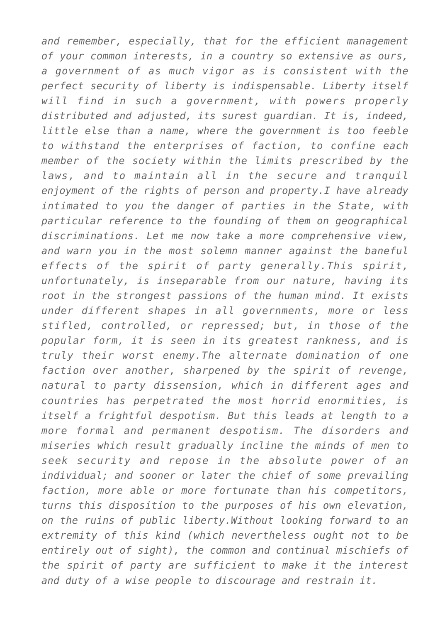*and remember, especially, that for the efficient management of your common interests, in a country so extensive as ours, a government of as much vigor as is consistent with the perfect security of liberty is indispensable. Liberty itself will find in such a government, with powers properly distributed and adjusted, its surest guardian. It is, indeed, little else than a name, where the government is too feeble to withstand the enterprises of faction, to confine each member of the society within the limits prescribed by the laws, and to maintain all in the secure and tranquil enjoyment of the rights of person and property.I have already intimated to you the danger of parties in the State, with particular reference to the founding of them on geographical discriminations. Let me now take a more comprehensive view, and warn you in the most solemn manner against the baneful effects of the spirit of party generally.This spirit, unfortunately, is inseparable from our nature, having its root in the strongest passions of the human mind. It exists under different shapes in all governments, more or less stifled, controlled, or repressed; but, in those of the popular form, it is seen in its greatest rankness, and is truly their worst enemy.The alternate domination of one faction over another, sharpened by the spirit of revenge, natural to party dissension, which in different ages and countries has perpetrated the most horrid enormities, is itself a frightful despotism. But this leads at length to a more formal and permanent despotism. The disorders and miseries which result gradually incline the minds of men to seek security and repose in the absolute power of an individual; and sooner or later the chief of some prevailing faction, more able or more fortunate than his competitors, turns this disposition to the purposes of his own elevation, on the ruins of public liberty.Without looking forward to an extremity of this kind (which nevertheless ought not to be entirely out of sight), the common and continual mischiefs of the spirit of party are sufficient to make it the interest and duty of a wise people to discourage and restrain it.*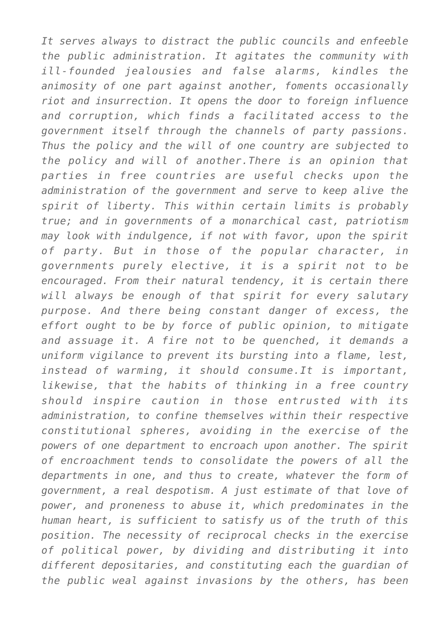*It serves always to distract the public councils and enfeeble the public administration. It agitates the community with ill-founded jealousies and false alarms, kindles the animosity of one part against another, foments occasionally riot and insurrection. It opens the door to foreign influence and corruption, which finds a facilitated access to the government itself through the channels of party passions. Thus the policy and the will of one country are subjected to the policy and will of another.There is an opinion that parties in free countries are useful checks upon the administration of the government and serve to keep alive the spirit of liberty. This within certain limits is probably true; and in governments of a monarchical cast, patriotism may look with indulgence, if not with favor, upon the spirit of party. But in those of the popular character, in governments purely elective, it is a spirit not to be encouraged. From their natural tendency, it is certain there will always be enough of that spirit for every salutary purpose. And there being constant danger of excess, the effort ought to be by force of public opinion, to mitigate and assuage it. A fire not to be quenched, it demands a uniform vigilance to prevent its bursting into a flame, lest, instead of warming, it should consume.It is important, likewise, that the habits of thinking in a free country should inspire caution in those entrusted with its administration, to confine themselves within their respective constitutional spheres, avoiding in the exercise of the powers of one department to encroach upon another. The spirit of encroachment tends to consolidate the powers of all the departments in one, and thus to create, whatever the form of government, a real despotism. A just estimate of that love of power, and proneness to abuse it, which predominates in the human heart, is sufficient to satisfy us of the truth of this position. The necessity of reciprocal checks in the exercise of political power, by dividing and distributing it into different depositaries, and constituting each the guardian of the public weal against invasions by the others, has been*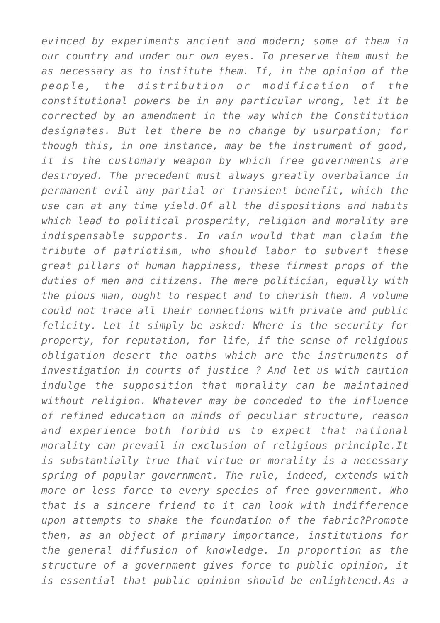*evinced by experiments ancient and modern; some of them in our country and under our own eyes. To preserve them must be as necessary as to institute them. If, in the opinion of the people, the distribution or modification of the constitutional powers be in any particular wrong, let it be corrected by an amendment in the way which the Constitution designates. But let there be no change by usurpation; for though this, in one instance, may be the instrument of good, it is the customary weapon by which free governments are destroyed. The precedent must always greatly overbalance in permanent evil any partial or transient benefit, which the use can at any time yield.Of all the dispositions and habits which lead to political prosperity, religion and morality are indispensable supports. In vain would that man claim the tribute of patriotism, who should labor to subvert these great pillars of human happiness, these firmest props of the duties of men and citizens. The mere politician, equally with the pious man, ought to respect and to cherish them. A volume could not trace all their connections with private and public felicity. Let it simply be asked: Where is the security for property, for reputation, for life, if the sense of religious obligation desert the oaths which are the instruments of investigation in courts of justice ? And let us with caution indulge the supposition that morality can be maintained without religion. Whatever may be conceded to the influence of refined education on minds of peculiar structure, reason and experience both forbid us to expect that national morality can prevail in exclusion of religious principle.It is substantially true that virtue or morality is a necessary spring of popular government. The rule, indeed, extends with more or less force to every species of free government. Who that is a sincere friend to it can look with indifference upon attempts to shake the foundation of the fabric?Promote then, as an object of primary importance, institutions for the general diffusion of knowledge. In proportion as the structure of a government gives force to public opinion, it is essential that public opinion should be enlightened.As a*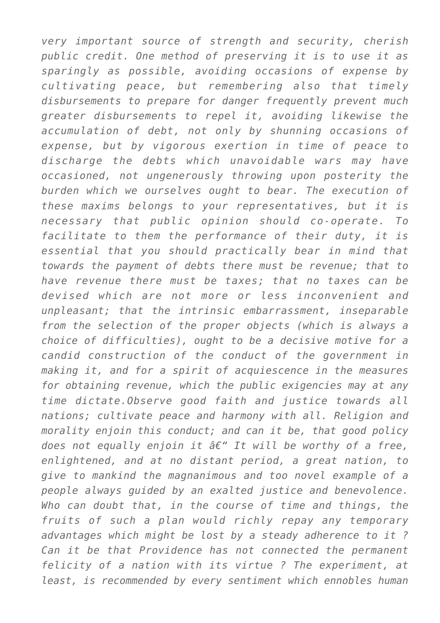*very important source of strength and security, cherish public credit. One method of preserving it is to use it as sparingly as possible, avoiding occasions of expense by cultivating peace, but remembering also that timely disbursements to prepare for danger frequently prevent much greater disbursements to repel it, avoiding likewise the accumulation of debt, not only by shunning occasions of expense, but by vigorous exertion in time of peace to discharge the debts which unavoidable wars may have occasioned, not ungenerously throwing upon posterity the burden which we ourselves ought to bear. The execution of these maxims belongs to your representatives, but it is necessary that public opinion should co-operate. To facilitate to them the performance of their duty, it is essential that you should practically bear in mind that towards the payment of debts there must be revenue; that to have revenue there must be taxes; that no taxes can be devised which are not more or less inconvenient and unpleasant; that the intrinsic embarrassment, inseparable from the selection of the proper objects (which is always a choice of difficulties), ought to be a decisive motive for a candid construction of the conduct of the government in making it, and for a spirit of acquiescence in the measures for obtaining revenue, which the public exigencies may at any time dictate.Observe good faith and justice towards all nations; cultivate peace and harmony with all. Religion and morality enjoin this conduct; and can it be, that good policy does not equally enjoin it â€*" It will be worthy of a free, *enlightened, and at no distant period, a great nation, to give to mankind the magnanimous and too novel example of a people always guided by an exalted justice and benevolence. Who can doubt that, in the course of time and things, the fruits of such a plan would richly repay any temporary advantages which might be lost by a steady adherence to it ? Can it be that Providence has not connected the permanent felicity of a nation with its virtue ? The experiment, at least, is recommended by every sentiment which ennobles human*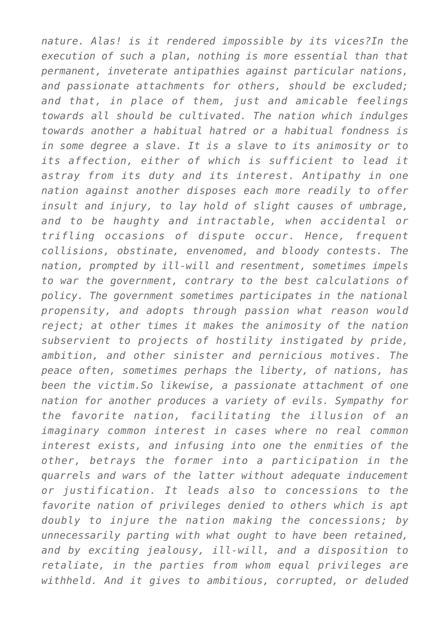*nature. Alas! is it rendered impossible by its vices?In the execution of such a plan, nothing is more essential than that permanent, inveterate antipathies against particular nations, and passionate attachments for others, should be excluded; and that, in place of them, just and amicable feelings towards all should be cultivated. The nation which indulges towards another a habitual hatred or a habitual fondness is in some degree a slave. It is a slave to its animosity or to its affection, either of which is sufficient to lead it astray from its duty and its interest. Antipathy in one nation against another disposes each more readily to offer insult and injury, to lay hold of slight causes of umbrage, and to be haughty and intractable, when accidental or trifling occasions of dispute occur. Hence, frequent collisions, obstinate, envenomed, and bloody contests. The nation, prompted by ill-will and resentment, sometimes impels to war the government, contrary to the best calculations of policy. The government sometimes participates in the national propensity, and adopts through passion what reason would reject; at other times it makes the animosity of the nation subservient to projects of hostility instigated by pride, ambition, and other sinister and pernicious motives. The peace often, sometimes perhaps the liberty, of nations, has been the victim.So likewise, a passionate attachment of one nation for another produces a variety of evils. Sympathy for the favorite nation, facilitating the illusion of an imaginary common interest in cases where no real common interest exists, and infusing into one the enmities of the other, betrays the former into a participation in the quarrels and wars of the latter without adequate inducement or justification. It leads also to concessions to the favorite nation of privileges denied to others which is apt doubly to injure the nation making the concessions; by unnecessarily parting with what ought to have been retained, and by exciting jealousy, ill-will, and a disposition to retaliate, in the parties from whom equal privileges are withheld. And it gives to ambitious, corrupted, or deluded*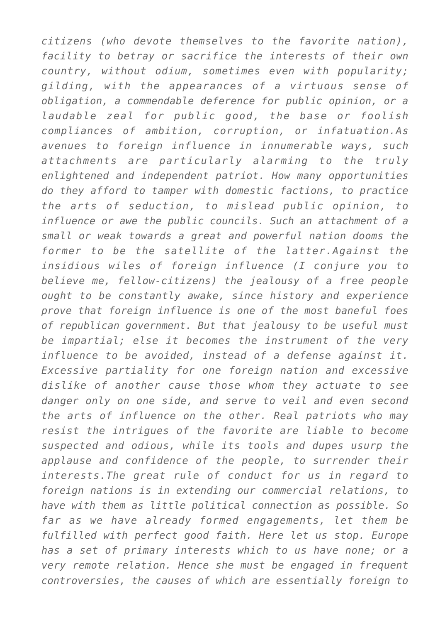*citizens (who devote themselves to the favorite nation), facility to betray or sacrifice the interests of their own country, without odium, sometimes even with popularity; gilding, with the appearances of a virtuous sense of obligation, a commendable deference for public opinion, or a laudable zeal for public good, the base or foolish compliances of ambition, corruption, or infatuation.As avenues to foreign influence in innumerable ways, such attachments are particularly alarming to the truly enlightened and independent patriot. How many opportunities do they afford to tamper with domestic factions, to practice the arts of seduction, to mislead public opinion, to influence or awe the public councils. Such an attachment of a small or weak towards a great and powerful nation dooms the former to be the satellite of the latter.Against the insidious wiles of foreign influence (I conjure you to believe me, fellow-citizens) the jealousy of a free people ought to be constantly awake, since history and experience prove that foreign influence is one of the most baneful foes of republican government. But that jealousy to be useful must be impartial; else it becomes the instrument of the very influence to be avoided, instead of a defense against it. Excessive partiality for one foreign nation and excessive dislike of another cause those whom they actuate to see danger only on one side, and serve to veil and even second the arts of influence on the other. Real patriots who may resist the intrigues of the favorite are liable to become suspected and odious, while its tools and dupes usurp the applause and confidence of the people, to surrender their interests.The great rule of conduct for us in regard to foreign nations is in extending our commercial relations, to have with them as little political connection as possible. So far as we have already formed engagements, let them be fulfilled with perfect good faith. Here let us stop. Europe has a set of primary interests which to us have none; or a very remote relation. Hence she must be engaged in frequent controversies, the causes of which are essentially foreign to*